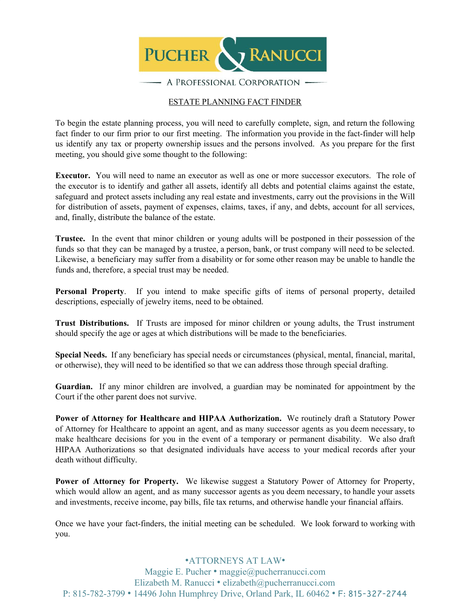

### ESTATE PLANNING FACT FINDER

To begin the estate planning process, you will need to carefully complete, sign, and return the following fact finder to our firm prior to our first meeting. The information you provide in the fact-finder will help us identify any tax or property ownership issues and the persons involved. As you prepare for the first meeting, you should give some thought to the following:

**Executor.** You will need to name an executor as well as one or more successor executors. The role of the executor is to identify and gather all assets, identify all debts and potential claims against the estate, safeguard and protect assets including any real estate and investments, carry out the provisions in the Will for distribution of assets, payment of expenses, claims, taxes, if any, and debts, account for all services, and, finally, distribute the balance of the estate.

**Trustee.** In the event that minor children or young adults will be postponed in their possession of the funds so that they can be managed by a trustee, a person, bank, or trust company will need to be selected. Likewise, a beneficiary may suffer from a disability or for some other reason may be unable to handle the funds and, therefore, a special trust may be needed.

**Personal Property**. If you intend to make specific gifts of items of personal property, detailed descriptions, especially of jewelry items, need to be obtained.

**Trust Distributions.** If Trusts are imposed for minor children or young adults, the Trust instrument should specify the age or ages at which distributions will be made to the beneficiaries.

**Special Needs.** If any beneficiary has special needs or circumstances (physical, mental, financial, marital, or otherwise), they will need to be identified so that we can address those through special drafting.

**Guardian.** If any minor children are involved, a guardian may be nominated for appointment by the Court if the other parent does not survive.

**Power of Attorney for Healthcare and HIPAA Authorization.** We routinely draft a Statutory Power of Attorney for Healthcare to appoint an agent, and as many successor agents as you deem necessary, to make healthcare decisions for you in the event of a temporary or permanent disability. We also draft HIPAA Authorizations so that designated individuals have access to your medical records after your death without difficulty.

**Power of Attorney for Property.** We likewise suggest a Statutory Power of Attorney for Property, which would allow an agent, and as many successor agents as you deem necessary, to handle your assets and investments, receive income, pay bills, file tax returns, and otherwise handle your financial affairs.

Once we have your fact-finders, the initial meeting can be scheduled. We look forward to working with you.

•ATTORNEYS AT LAW• Maggie E. Pucher • maggie@pucherranucci.com Elizabeth M. Ranucci • elizabeth@pucherranucci.com P: 815-782-3799 • 14496 John Humphrey Drive, Orland Park, IL 60462 • F: 815-327-2744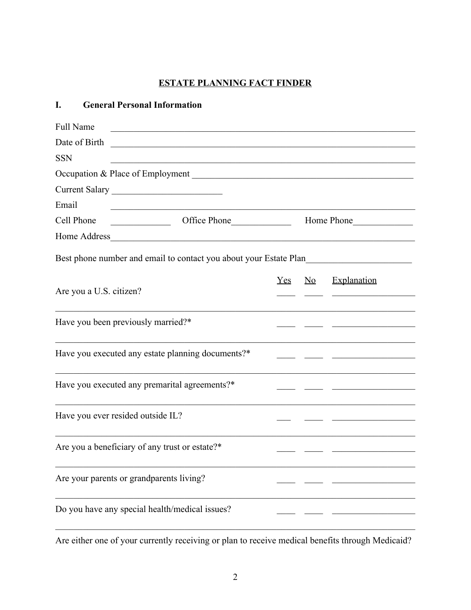# **ESTATE PLANNING FACT FINDER**

## **I. General Personal Information**

| <b>Full Name</b>                         |                                                                                                                       |     |                           |                                                                                                                       |
|------------------------------------------|-----------------------------------------------------------------------------------------------------------------------|-----|---------------------------|-----------------------------------------------------------------------------------------------------------------------|
| Date of Birth                            | <u> 1989 - Johann Harry Harry Harry Harry Harry Harry Harry Harry Harry Harry Harry Harry Harry Harry Harry Harry</u> |     |                           |                                                                                                                       |
| <b>SSN</b>                               |                                                                                                                       |     |                           |                                                                                                                       |
|                                          |                                                                                                                       |     |                           |                                                                                                                       |
|                                          |                                                                                                                       |     |                           |                                                                                                                       |
| Email                                    |                                                                                                                       |     |                           |                                                                                                                       |
| Cell Phone                               | Office Phone                                                                                                          |     |                           | Home Phone                                                                                                            |
|                                          |                                                                                                                       |     |                           |                                                                                                                       |
|                                          | Best phone number and email to contact you about your Estate Plan                                                     |     |                           |                                                                                                                       |
|                                          |                                                                                                                       | Yes | $\underline{\mathrm{No}}$ | Explanation                                                                                                           |
| Are you a U.S. citizen?                  |                                                                                                                       |     |                           | <u> 1989 - Johann Marie Barn, mars eta industrial eta industrial eta industrial eta industrial eta industrial eta</u> |
| Have you been previously married?*       |                                                                                                                       |     |                           | <u> 1990 - John Barn Barn, mars and de la partie de la partie de la partie de la partie de la partie de la partie</u> |
|                                          | Have you executed any estate planning documents?*                                                                     |     |                           | <u> 1990 - John Stein, mars and de Britannie (b. 1980)</u>                                                            |
|                                          | Have you executed any premarital agreements?*                                                                         |     |                           | <u> 1980 - John Harrison, martin al-Amerikaansk filozof (</u>                                                         |
| Have you ever resided outside IL?        |                                                                                                                       |     |                           |                                                                                                                       |
|                                          | Are you a beneficiary of any trust or estate?*                                                                        |     |                           |                                                                                                                       |
| Are your parents or grandparents living? |                                                                                                                       |     |                           |                                                                                                                       |
|                                          | Do you have any special health/medical issues?                                                                        |     |                           |                                                                                                                       |

Are either one of your currently receiving or plan to receive medical benefits through Medicaid?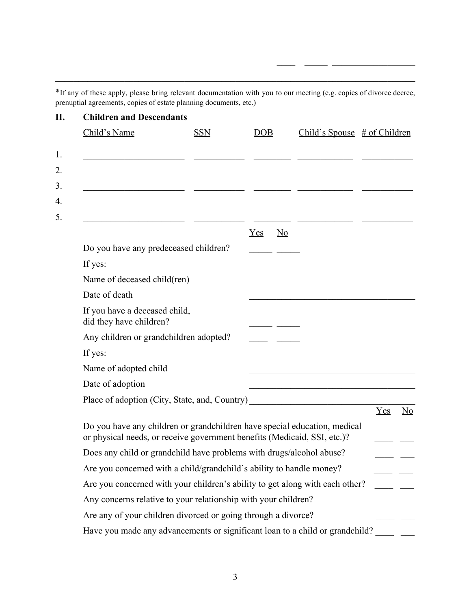\*If any of these apply, please bring relevant documentation with you to our meeting (e.g. copies of divorce decree, prenuptial agreements, copies of estate planning documents, etc.)

 $\mathcal{L}_\mathcal{L} = \{ \mathcal{L}_\mathcal{L} = \{ \mathcal{L}_\mathcal{L} = \{ \mathcal{L}_\mathcal{L} = \{ \mathcal{L}_\mathcal{L} = \{ \mathcal{L}_\mathcal{L} = \{ \mathcal{L}_\mathcal{L} = \{ \mathcal{L}_\mathcal{L} = \{ \mathcal{L}_\mathcal{L} = \{ \mathcal{L}_\mathcal{L} = \{ \mathcal{L}_\mathcal{L} = \{ \mathcal{L}_\mathcal{L} = \{ \mathcal{L}_\mathcal{L} = \{ \mathcal{L}_\mathcal{L} = \{ \mathcal{L}_\mathcal{$ 

\_\_\_\_ \_\_\_\_\_ \_\_\_\_\_\_\_\_\_\_\_\_\_\_\_\_\_\_

| <b>Children and Descendants</b>                                                                                                                       |            |                                  |                                 |     |                        |
|-------------------------------------------------------------------------------------------------------------------------------------------------------|------------|----------------------------------|---------------------------------|-----|------------------------|
| Child's Name                                                                                                                                          | <b>SSN</b> | <b>DOB</b>                       | Child's Spouse $\#$ of Children |     |                        |
|                                                                                                                                                       |            |                                  |                                 |     |                        |
|                                                                                                                                                       |            |                                  |                                 |     |                        |
|                                                                                                                                                       |            |                                  |                                 |     |                        |
|                                                                                                                                                       |            |                                  |                                 |     |                        |
|                                                                                                                                                       |            |                                  |                                 |     |                        |
|                                                                                                                                                       |            | Yes<br>$\underline{\mathrm{No}}$ |                                 |     |                        |
| Do you have any predeceased children?                                                                                                                 |            |                                  |                                 |     |                        |
| If yes:                                                                                                                                               |            |                                  |                                 |     |                        |
| Name of deceased child(ren)                                                                                                                           |            |                                  |                                 |     |                        |
| Date of death                                                                                                                                         |            |                                  |                                 |     |                        |
| If you have a deceased child,<br>did they have children?                                                                                              |            |                                  |                                 |     |                        |
| Any children or grandchildren adopted?                                                                                                                |            |                                  |                                 |     |                        |
| If yes:                                                                                                                                               |            |                                  |                                 |     |                        |
| Name of adopted child                                                                                                                                 |            |                                  |                                 |     |                        |
| Date of adoption                                                                                                                                      |            |                                  |                                 |     |                        |
| Place of adoption (City, State, and, Country)                                                                                                         |            |                                  |                                 |     |                        |
|                                                                                                                                                       |            |                                  |                                 | Yes | $\overline{\text{No}}$ |
| Do you have any children or grandchildren have special education, medical<br>or physical needs, or receive government benefits (Medicaid, SSI, etc.)? |            |                                  |                                 |     |                        |
| Does any child or grandchild have problems with drugs/alcohol abuse?                                                                                  |            |                                  |                                 |     |                        |
| Are you concerned with a child/grandchild's ability to handle money?                                                                                  |            |                                  |                                 |     |                        |
| Are you concerned with your children's ability to get along with each other?                                                                          |            |                                  |                                 |     |                        |
| Any concerns relative to your relationship with your children?                                                                                        |            |                                  |                                 |     |                        |
| Are any of your children divorced or going through a divorce?                                                                                         |            |                                  |                                 |     |                        |
| Have you made any advancements or significant loan to a child or grandchild?                                                                          |            |                                  |                                 |     |                        |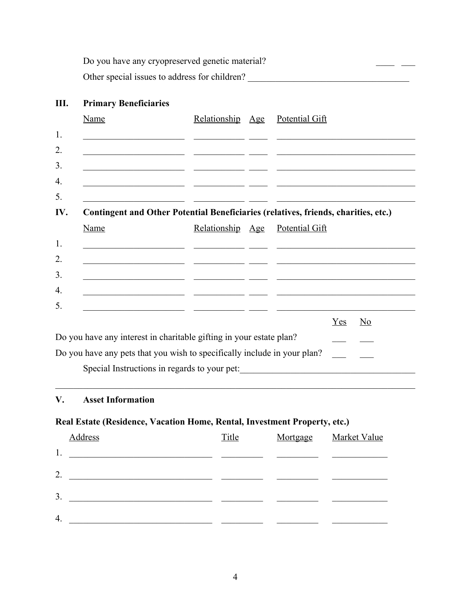Do you have any cryopreserved genetic material? Other special issues to address for children?

# **III. Primary Beneficiaries** Name Relationship Age Potential Gift 1. \_\_\_\_\_\_\_\_\_\_\_\_\_\_\_\_\_\_\_\_\_\_ \_\_\_\_\_\_\_\_\_\_\_ \_\_\_\_ \_\_\_\_\_\_\_\_\_\_\_\_\_\_\_\_\_\_\_\_\_\_\_\_\_\_\_\_\_\_ 2. \_\_\_\_\_\_\_\_\_\_\_\_\_\_\_\_\_\_\_\_\_\_ \_\_\_\_\_\_\_\_\_\_\_ \_\_\_\_ \_\_\_\_\_\_\_\_\_\_\_\_\_\_\_\_\_\_\_\_\_\_\_\_\_\_\_\_\_\_  $3.$ 4. \_\_\_\_\_\_\_\_\_\_\_\_\_\_\_\_\_\_\_\_\_\_ \_\_\_\_\_\_\_\_\_\_\_ \_\_\_\_ \_\_\_\_\_\_\_\_\_\_\_\_\_\_\_\_\_\_\_\_\_\_\_\_\_\_\_\_\_\_  $5.$   $\qquad \qquad$ **IV. Contingent and Other Potential Beneficiaries (relatives, friends, charities, etc.)** Name Relationship Age Potential Gift 1. \_\_\_\_\_\_\_\_\_\_\_\_\_\_\_\_\_\_\_\_\_\_ \_\_\_\_\_\_\_\_\_\_\_ \_\_\_\_ \_\_\_\_\_\_\_\_\_\_\_\_\_\_\_\_\_\_\_\_\_\_\_\_\_\_\_\_\_\_ 2. \_\_\_\_\_\_\_\_\_\_\_\_\_\_\_\_\_\_\_\_\_\_ \_\_\_\_\_\_\_\_\_\_\_ \_\_\_\_ \_\_\_\_\_\_\_\_\_\_\_\_\_\_\_\_\_\_\_\_\_\_\_\_\_\_\_\_\_\_ 3. \_\_\_\_\_\_\_\_\_\_\_\_\_\_\_\_\_\_\_\_\_\_ \_\_\_\_\_\_\_\_\_\_\_ \_\_\_\_ \_\_\_\_\_\_\_\_\_\_\_\_\_\_\_\_\_\_\_\_\_\_\_\_\_\_\_\_\_\_ 4. \_\_\_\_\_\_\_\_\_\_\_\_\_\_\_\_\_\_\_\_\_\_ \_\_\_\_\_\_\_\_\_\_\_ \_\_\_\_ \_\_\_\_\_\_\_\_\_\_\_\_\_\_\_\_\_\_\_\_\_\_\_\_\_\_\_\_\_\_  $5.$   $\qquad \qquad$   $\qquad \qquad$   $\qquad \qquad$   $\qquad \qquad$   $\qquad \qquad$   $\qquad \qquad$   $\qquad \qquad$ Yes No  $\mathbf{D}$  you have any interest interest in your estate plane in your estate plane in your estate plane in your estate plane in your estate plane in your estate plane in your estate plane in your estate plane in your estat

| Do you have any interest in charitable gifting in your estate plan?      |  |  |
|--------------------------------------------------------------------------|--|--|
| Do you have any pets that you wish to specifically include in your plan? |  |  |
| Special Instructions in regards to your pet:                             |  |  |

 $\mathcal{L}_\mathcal{L} = \{ \mathcal{L}_\mathcal{L} = \{ \mathcal{L}_\mathcal{L} = \{ \mathcal{L}_\mathcal{L} = \{ \mathcal{L}_\mathcal{L} = \{ \mathcal{L}_\mathcal{L} = \{ \mathcal{L}_\mathcal{L} = \{ \mathcal{L}_\mathcal{L} = \{ \mathcal{L}_\mathcal{L} = \{ \mathcal{L}_\mathcal{L} = \{ \mathcal{L}_\mathcal{L} = \{ \mathcal{L}_\mathcal{L} = \{ \mathcal{L}_\mathcal{L} = \{ \mathcal{L}_\mathcal{L} = \{ \mathcal{L}_\mathcal{$ 

## **V. Asset Information**

### **Real Estate (Residence, Vacation Home, Rental, Investment Property, etc.)**

|    | <b>Address</b> | Title | Mortgage | <b>Market Value</b> |
|----|----------------|-------|----------|---------------------|
| 1. |                |       |          |                     |
| 2. |                |       |          |                     |
| 3. |                |       |          |                     |
| 4. |                |       |          |                     |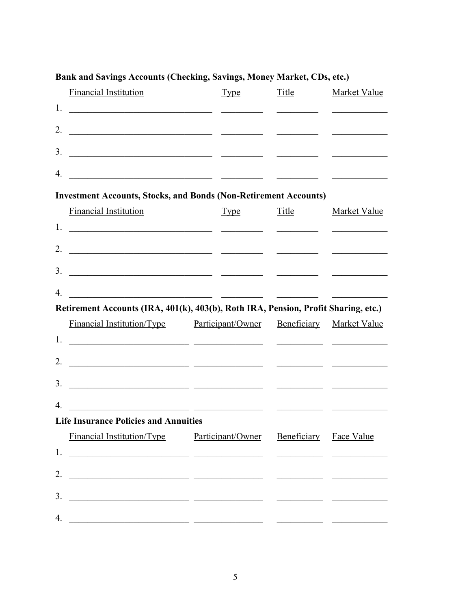|                | <b>Financial Institution</b>                                                                                           | <b>Type</b> | <b>Title</b> | <b>Market Value</b>                                                                                                   |
|----------------|------------------------------------------------------------------------------------------------------------------------|-------------|--------------|-----------------------------------------------------------------------------------------------------------------------|
| 1.             |                                                                                                                        |             |              | <u> 1990 - John Barn Barn, amerikansk politiker</u>                                                                   |
| 2.             |                                                                                                                        |             |              |                                                                                                                       |
| 3.             | <u> 1989 - Andrea San Andrea San Andrea San Aonaichte ann an t-</u>                                                    |             |              |                                                                                                                       |
| 4.             | <u> 1989 - Jan James James, participante de la contexta de la contexta de la contexta de la contexta de la context</u> |             |              |                                                                                                                       |
|                | <b>Investment Accounts, Stocks, and Bonds (Non-Retirement Accounts)</b>                                                |             |              |                                                                                                                       |
|                | <b>Financial Institution</b>                                                                                           | <u>Type</u> | <u>Title</u> | <b>Market Value</b>                                                                                                   |
| 1.             | <u> 1990 - Jan James James, politik eta politik eta politikaria (h. 1900).</u>                                         |             |              |                                                                                                                       |
| 2.             | <u> 1989 - Johann Harrison, fransk politik (f. 1989)</u>                                                               |             |              |                                                                                                                       |
| 3.             | <u> 2000 - Jan James James, participante de la contextual de la contextual de la contextual de la contextual de l</u>  |             |              |                                                                                                                       |
| 4              | <u> 2000 - Jan James Samuel (b. 1989)</u>                                                                              |             |              |                                                                                                                       |
|                |                                                                                                                        |             |              |                                                                                                                       |
|                | Retirement Accounts (IRA, 401(k), 403(b), Roth IRA, Pension, Profit Sharing, etc.)                                     |             |              |                                                                                                                       |
|                | Financial Institution/Type Participant/Owner                                                                           |             |              | Beneficiary Market Value                                                                                              |
|                |                                                                                                                        |             |              |                                                                                                                       |
| 2.             | <u> 2000 - Andrea State Barbara, amerikan personal (h. 1982).</u>                                                      |             |              |                                                                                                                       |
| 3.             | <u> 1999 - Jan James James, maria al II-lea (h. 1918).</u>                                                             |             |              |                                                                                                                       |
| $\overline{4}$ |                                                                                                                        |             |              |                                                                                                                       |
|                | <b>Life Insurance Policies and Annuities</b>                                                                           |             |              |                                                                                                                       |
|                | Financial Institution/Type Participant/Owner Beneficiary Face Value                                                    |             |              |                                                                                                                       |
| 1.             |                                                                                                                        |             |              | <u> 1989 - Johann Harry Harry Harry Harry Harry Harry Harry Harry Harry Harry Harry Harry Harry Harry Harry Harry</u> |
| 2.             | <u> 1989 - Jan Sarah Barat, masjid a shekara ta 1989 - André a shekara ta 1989 - André a shekara ta 1989 - André a</u> |             |              |                                                                                                                       |
| 3.             |                                                                                                                        |             |              |                                                                                                                       |

# Bank and Savings Accounts (Checking, Savings, Money Market, CDs, etc.)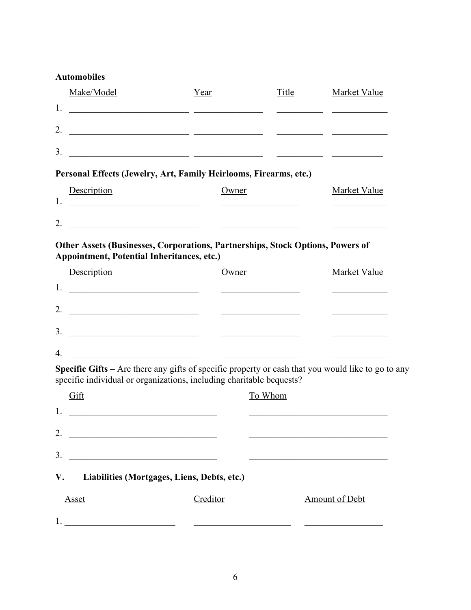## **Automobiles**

|    | Make/Model                                                        | Year  | Title | Market Value |
|----|-------------------------------------------------------------------|-------|-------|--------------|
| 1. | <u> 1980 - Andrea Andrew Maria (b. 1980)</u>                      |       |       |              |
| 2. |                                                                   |       |       |              |
| 3. |                                                                   |       |       |              |
|    |                                                                   |       |       |              |
|    | Personal Effects (Jewelry, Art, Family Heirlooms, Firearms, etc.) |       |       |              |
|    | Description                                                       | Owner |       | Market Value |
| 1. |                                                                   |       |       |              |
| 2. |                                                                   |       |       |              |

## **Other Assets (Businesses, Corporations, Partnerships, Stock Options, Powers of Appointment, Potential Inheritances, etc.)**

| Description | Owner | <b>Market Value</b> |
|-------------|-------|---------------------|
| 1.          |       |                     |
| 2.          |       |                     |
| 3.          |       |                     |
| 4.          |       |                     |

**Specific Gifts –** Are there any gifts of specific property or cash that you would like to go to any specific individual or organizations, including charitable bequests?

| Gift                                              | To Whom  |                       |
|---------------------------------------------------|----------|-----------------------|
| 1.                                                |          |                       |
| 2.                                                |          |                       |
| 3.                                                |          |                       |
| V.<br>Liabilities (Mortgages, Liens, Debts, etc.) |          |                       |
| <b>Asset</b>                                      | Creditor | <b>Amount of Debt</b> |
|                                                   |          |                       |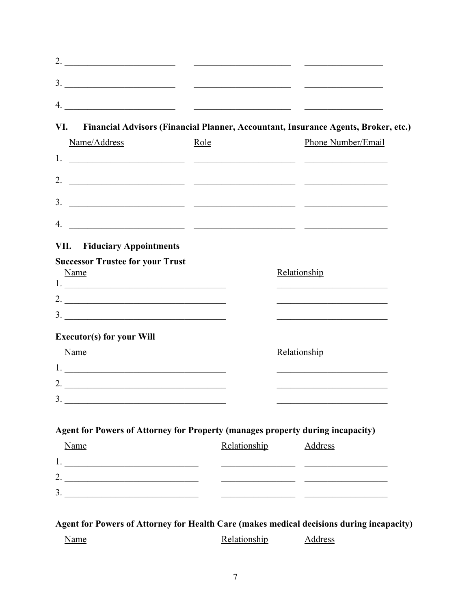| VI.<br>Financial Advisors (Financial Planner, Accountant, Insurance Agents, Broker, etc.)                                           |              |                |                                                                                           |
|-------------------------------------------------------------------------------------------------------------------------------------|--------------|----------------|-------------------------------------------------------------------------------------------|
| Name/Address                                                                                                                        | Role         |                | Phone Number/Email                                                                        |
|                                                                                                                                     |              |                |                                                                                           |
| <u> 1980 - Jan James James, politik eta politik eta politik eta politik eta politik eta politik eta politik eta </u>                |              |                |                                                                                           |
| <u> 1989 - Andrea San Andrea San Andrea San Andrea San Andrea San A</u>                                                             |              |                |                                                                                           |
|                                                                                                                                     |              |                |                                                                                           |
| 4.<br><b>VII.</b> Fiduciary Appointments                                                                                            |              |                |                                                                                           |
| Name                                                                                                                                |              | Relationship   |                                                                                           |
|                                                                                                                                     |              |                | the control of the control of the control of the control of the control of the control of |
|                                                                                                                                     |              |                |                                                                                           |
|                                                                                                                                     |              | Relationship   |                                                                                           |
|                                                                                                                                     |              |                |                                                                                           |
| <b>Executor(s) for your Will</b><br>Name<br>2. $\frac{1}{\sqrt{1-\frac{1}{2}}\left\vert \frac{1}{2(1-\frac{1}{2})^2}\right\vert^2}$ |              |                |                                                                                           |
| 3.                                                                                                                                  |              |                |                                                                                           |
| Agent for Powers of Attorney for Property (manages property during incapacity)                                                      |              |                |                                                                                           |
|                                                                                                                                     | Relationship | <b>Address</b> |                                                                                           |
| Name                                                                                                                                |              |                | <u> 1980 - Johann John Stein, market francuski filozof (</u>                              |

Relationship

Address

Name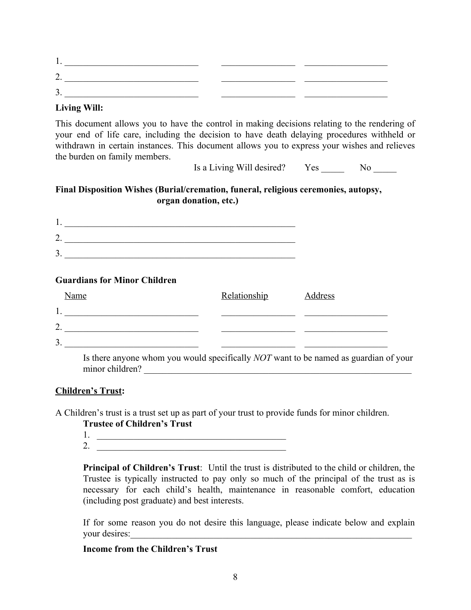#### **Living Will:**

This document allows you to have the control in making decisions relating to the rendering of your end of life care, including the decision to have death delaying procedures withheld or withdrawn in certain instances. This document allows you to express your wishes and relieves the burden on family members.

Is a Living Will desired? Yes No

## **Final Disposition Wishes (Burial/cremation, funeral, religious ceremonies, autopsy, organ donation, etc.)**

1. \_\_\_\_\_\_\_\_\_\_\_\_\_\_\_\_\_\_\_\_\_\_\_\_\_\_\_\_\_\_\_\_\_\_\_\_\_\_\_\_\_\_\_\_\_\_\_\_\_\_ 2. \_\_\_\_\_\_\_\_\_\_\_\_\_\_\_\_\_\_\_\_\_\_\_\_\_\_\_\_\_\_\_\_\_\_\_\_\_\_\_\_\_\_\_\_\_\_\_\_\_\_ 3. \_\_\_\_\_\_\_\_\_\_\_\_\_\_\_\_\_\_\_\_\_\_\_\_\_\_\_\_\_\_\_\_\_\_\_\_\_\_\_\_\_\_\_\_\_\_\_\_\_\_

#### **Guardians for Minor Children**

| <b>Name</b> | Relationship | <b>Address</b> |
|-------------|--------------|----------------|
| 1.          |              |                |
| າ<br>۷.     |              |                |
| 3.          |              |                |

Is there anyone whom you would specifically *NOT* want to be named as guardian of your minor children? \_\_\_\_\_\_\_\_\_\_\_\_\_\_\_\_\_\_\_\_\_\_\_\_\_\_\_\_\_\_\_\_\_\_\_\_\_\_\_\_\_\_\_\_\_\_\_\_\_\_\_\_\_\_\_\_\_\_

#### **Children's Trust:**

A Children's trust is a trust set up as part of your trust to provide funds for minor children.

#### **Trustee of Children's Trust**

- 1. \_\_\_\_\_\_\_\_\_\_\_\_\_\_\_\_\_\_\_\_\_\_\_\_\_\_\_\_\_\_\_\_\_\_\_\_\_\_\_\_\_
- 2.

**Principal of Children's Trust**: Until the trust is distributed to the child or children, the Trustee is typically instructed to pay only so much of the principal of the trust as is necessary for each child's health, maintenance in reasonable comfort, education (including post graduate) and best interests.

If for some reason you do not desire this language, please indicate below and explain your desires:

#### **Income from the Children's Trust**